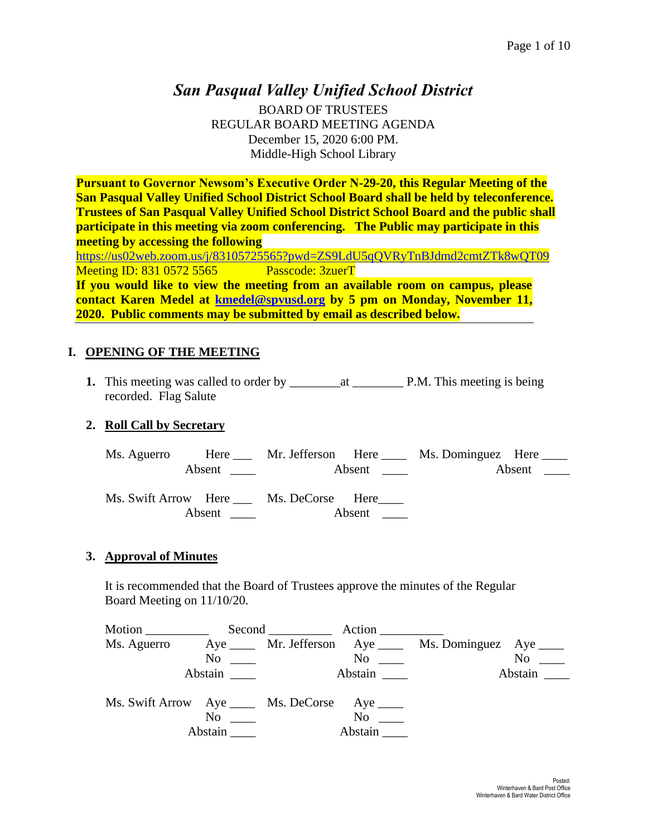# *San Pasqual Valley Unified School District*

BOARD OF TRUSTEES REGULAR BOARD MEETING AGENDA December 15, 2020 6:00 PM. Middle-High School Library

**Pursuant to Governor Newsom's Executive Order N-29-20, this Regular Meeting of the San Pasqual Valley Unified School District School Board shall be held by teleconference. Trustees of San Pasqual Valley Unified School District School Board and the public shall participate in this meeting via zoom conferencing. The Public may participate in this meeting by accessing the following** 

<https://us02web.zoom.us/j/83105725565?pwd=ZS9LdU5qQVRyTnBJdmd2cmtZTk8wQT09> Meeting ID: 831 0572 5565 Passcode: 3zuerT

**If you would like to view the meeting from an available room on campus, please contact Karen Medel at [kmedel@spvusd.org](mailto:kmedel@spvusd.org) by 5 pm on Monday, November 11, 2020. Public comments may be submitted by email as described below.** 

# **I. OPENING OF THE MEETING**

**1.** This meeting was called to order by \_\_\_\_\_\_\_\_at \_\_\_\_\_\_\_\_ P.M. This meeting is being recorded. Flag Salute

# **2. Roll Call by Secretary**

|        |                                       |                 | Ms. Aguerro Here Mr. Jefferson Here Ms. Dominguez Here |                        |
|--------|---------------------------------------|-----------------|--------------------------------------------------------|------------------------|
| Absent |                                       |                 |                                                        | Absent $\qquad \qquad$ |
| Absent | Ms. Swift Arrow Here Ms. DeCorse Here | Absent $\qquad$ |                                                        |                        |

### **3. Approval of Minutes**

It is recommended that the Board of Trustees approve the minutes of the Regular Board Meeting on 11/10/20.

| Motion $\frac{1}{\sqrt{1-\frac{1}{2}}\cdot\frac{1}{\sqrt{1-\frac{1}{2}}}}$ |         | Second Action |                                                            |           |
|----------------------------------------------------------------------------|---------|---------------|------------------------------------------------------------|-----------|
| Ms. Aguerro                                                                |         |               | Aye ______ Mr. Jefferson Aye _____ Ms. Dominguez Aye _____ |           |
|                                                                            |         | $No \ \_$     |                                                            | $No \_\_$ |
|                                                                            | Abstain | Abstain       |                                                            | Abstain   |
| Ms. Swift Arrow Aye _____ Ms. DeCorse Aye ____                             |         |               |                                                            |           |
|                                                                            | No.     | $\rm No$      |                                                            |           |
|                                                                            | Abstain | Abstain       |                                                            |           |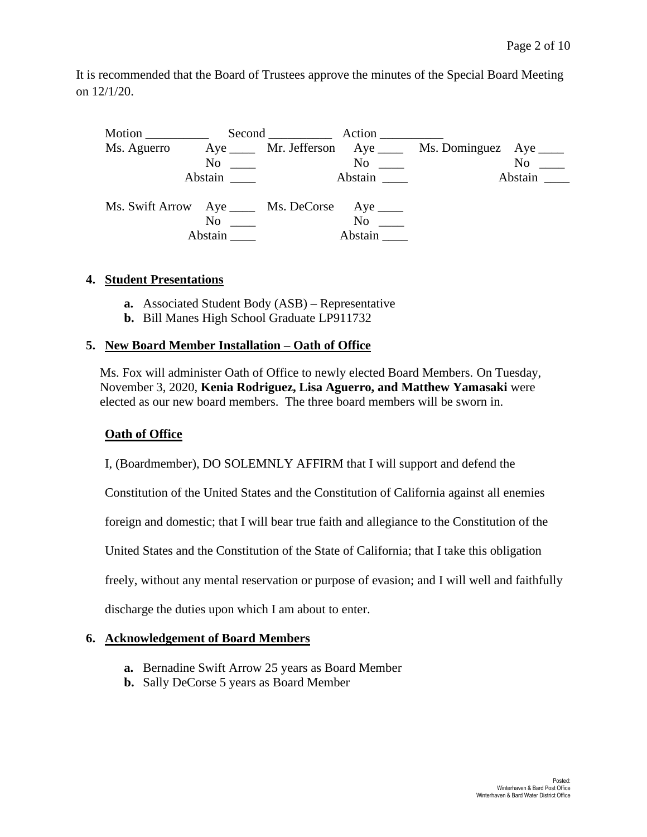It is recommended that the Board of Trustees approve the minutes of the Special Board Meeting on 12/1/20.

Motion \_\_\_\_\_\_\_\_\_\_ Second \_\_\_\_\_\_\_\_\_\_ Action \_\_\_\_\_\_\_\_\_\_ Ms. Aguerro Aye \_\_\_\_ Mr. Jefferson Aye \_\_\_\_ Ms. Dominguez Aye \_\_\_\_ No \_\_\_ No \_\_ No \_\_ No \_\_ No \_\_ Abstain **Abstain Abstain Abstain** Ms. Swift Arrow Aye \_\_\_\_ Ms. DeCorse Aye \_\_\_\_ No \_\_\_\_ No \_\_\_\_ Abstain \_\_\_\_ Abstain \_\_\_

#### **4. Student Presentations**

- **a.** Associated Student Body (ASB) Representative
- **b.** Bill Manes High School Graduate LP911732

### **5. New Board Member Installation – Oath of Office**

Ms. Fox will administer Oath of Office to newly elected Board Members. On Tuesday, November 3, 2020, **Kenia Rodriguez, Lisa Aguerro, and Matthew Yamasaki** were elected as our new board members. The three board members will be sworn in.

### **Oath of Office**

I, (Boardmember), DO SOLEMNLY AFFIRM that I will support and defend the

Constitution of the United States and the Constitution of California against all enemies

foreign and domestic; that I will bear true faith and allegiance to the Constitution of the

United States and the Constitution of the State of California; that I take this obligation

freely, without any mental reservation or purpose of evasion; and I will well and faithfully

discharge the duties upon which I am about to enter.

#### **6. Acknowledgement of Board Members**

- **a.** Bernadine Swift Arrow 25 years as Board Member
- **b.** Sally DeCorse 5 years as Board Member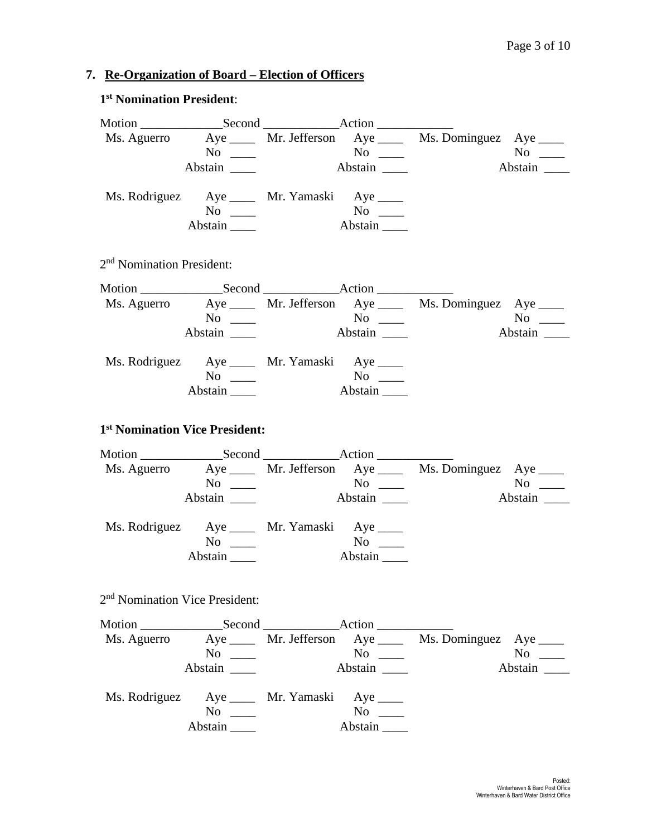# **7. Re-Organization of Board – Election of Officers**

### **1 st Nomination President**:

|                                            |                                                         |                                            |                                           | Ms. Aguerro Aye _____ Mr. Jefferson Aye _____ Ms. Dominguez Aye ____<br><b>At</b> | $No \t —$           |
|--------------------------------------------|---------------------------------------------------------|--------------------------------------------|-------------------------------------------|-----------------------------------------------------------------------------------|---------------------|
|                                            | Abstain _______                                         |                                            |                                           |                                                                                   |                     |
|                                            | Ms. Rodriguez Aye _____ Mr. Yamaski Aye ____<br>Abstain | No<br>Stain No<br>Abstain No<br>Abstain No | Abstain                                   |                                                                                   |                     |
|                                            |                                                         |                                            |                                           |                                                                                   |                     |
| 2 <sup>nd</sup> Nomination President:      |                                                         |                                            |                                           |                                                                                   |                     |
|                                            |                                                         |                                            |                                           |                                                                                   |                     |
|                                            |                                                         |                                            |                                           | Ms. Aguerro Aye _____ Mr. Jefferson Aye _____ Ms. Dominguez Aye ____              |                     |
|                                            | Abstain _______                                         |                                            |                                           |                                                                                   | Abstain $\_\_\_\_\$ |
|                                            | Ms. Rodriguez Aye _____ Mr. Yamaski Aye ____            |                                            |                                           |                                                                                   |                     |
|                                            |                                                         | No<br>stain No<br>Abstain No<br>Abstain No |                                           |                                                                                   |                     |
|                                            | Abstain                                                 |                                            | Abstain                                   |                                                                                   |                     |
| 1 <sup>st</sup> Nomination Vice President: |                                                         |                                            |                                           |                                                                                   |                     |
|                                            |                                                         |                                            |                                           |                                                                                   |                     |
|                                            |                                                         |                                            |                                           | Ms. Aguerro Aye _____ Mr. Jefferson Aye _____ Ms. Dominguez Aye ____              |                     |
|                                            |                                                         |                                            |                                           |                                                                                   | $No \_$             |
|                                            | Abstain _______                                         |                                            | Abstain                                   |                                                                                   | Abstain _______     |
|                                            | Ms. Rodriguez Aye _____ Mr. Yamaski Aye ____            |                                            |                                           |                                                                                   |                     |
|                                            | $No \ \_$                                               |                                            | $\overline{N_0}$ $\overline{\phantom{0}}$ |                                                                                   |                     |
|                                            | Abstain                                                 |                                            |                                           |                                                                                   |                     |
| 2 <sup>nd</sup> Nomination Vice President: |                                                         |                                            |                                           |                                                                                   |                     |
|                                            |                                                         |                                            |                                           |                                                                                   |                     |
|                                            |                                                         |                                            |                                           | Ms. Aguerro Aye _____ Mr. Jefferson Aye _____ Ms. Dominguez Aye ____              |                     |
|                                            | $No \ \_$                                               |                                            | $No \ \_$                                 |                                                                                   | $No \_$             |
|                                            | Abstain                                                 |                                            | Abstain                                   |                                                                                   | Abstain             |
|                                            | Ms. Rodriguez Aye _____ Mr. Yamaski Aye ____            |                                            |                                           |                                                                                   |                     |
|                                            | $No \ \_$                                               |                                            | $No \ \_$                                 |                                                                                   |                     |
|                                            | Abstain                                                 |                                            | Abstain                                   |                                                                                   |                     |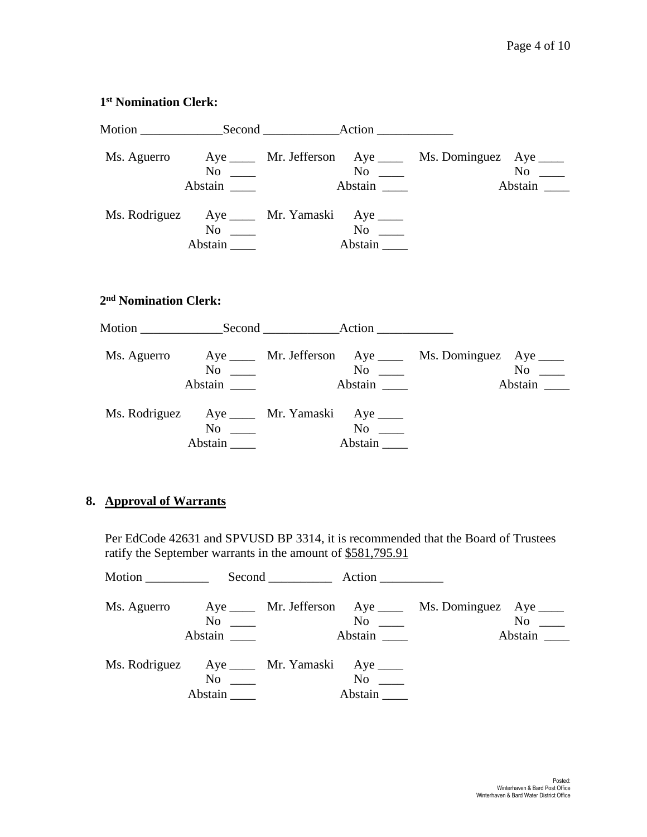### **1 st Nomination Clerk:**

| Ms. Aguerro                                  | No<br>Abstain        | No<br>Abstain        | Aye ______ Mr. Jefferson Aye _____ Ms. Dominguez Aye ____<br>$No \t —$<br>Abstain |
|----------------------------------------------|----------------------|----------------------|-----------------------------------------------------------------------------------|
| Ms. Rodriguez Aye _____ Mr. Yamaski Aye ____ | $No \ \_$<br>Abstain | $No \ \_$<br>Abstain |                                                                                   |

### **2 nd Nomination Clerk:**

| Ms. Aguerro                                 | $\mathrm{No} \ \_\_\_\$<br>Abstain | $\mathrm{No} \ \_\_\_\$<br>Abstain | Aye _____ Mr. Jefferson Aye ____ Ms. Dominguez Aye ____ | $No \_\_$<br>Abstain |
|---------------------------------------------|------------------------------------|------------------------------------|---------------------------------------------------------|----------------------|
| Ms. Rodriguez Aye ____ Mr. Yamaski Aye ____ | No<br>Abstain                      | No<br>Abstain                      |                                                         |                      |

# **8. Approval of Warrants**

Per EdCode 42631 and SPVUSD BP 3314, it is recommended that the Board of Trustees ratify the September warrants in the amount of \$581,795.91

|                                              |                      |                                              | Second Action                                        |                                                            |                      |
|----------------------------------------------|----------------------|----------------------------------------------|------------------------------------------------------|------------------------------------------------------------|----------------------|
| Ms. Aguerro                                  | Abstain              | $\overline{\text{No}}$ $\overline{\text{)}}$ | $\overline{N}$ o $\overline{\phantom{0}}$<br>Abstain | Aye ______ Mr. Jefferson Aye _____ Ms. Dominguez Aye _____ | $No \_\_$<br>Abstain |
| Ms. Rodriguez Aye _____ Mr. Yamaski Aye ____ | $No \ \_$<br>Abstain |                                              | $No \t —$<br>Abstain                                 |                                                            |                      |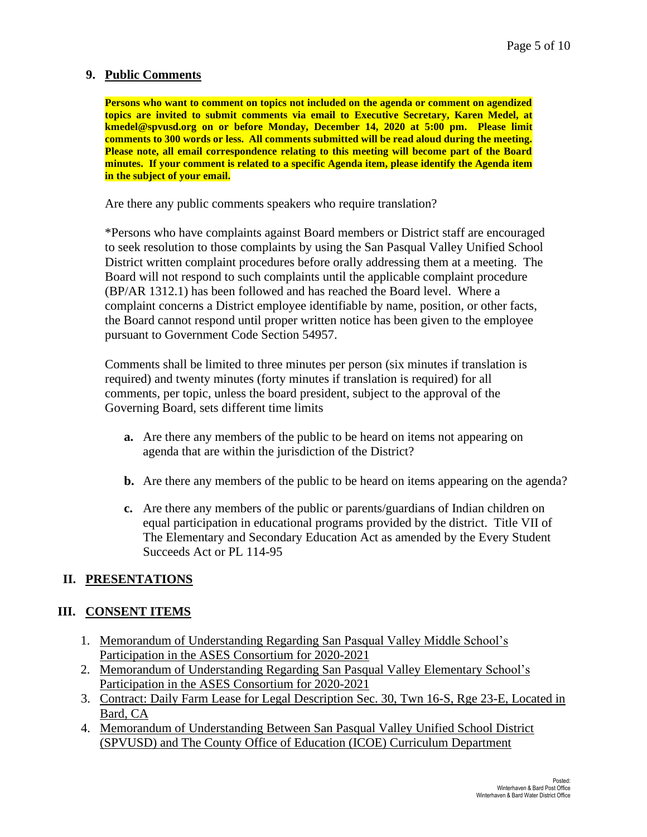### **9. Public Comments**

**Persons who want to comment on topics not included on the agenda or comment on agendized topics are invited to submit comments via email to Executive Secretary, Karen Medel, at kmedel@spvusd.org on or before Monday, December 14, 2020 at 5:00 pm. Please limit comments to 300 words or less. All comments submitted will be read aloud during the meeting. Please note, all email correspondence relating to this meeting will become part of the Board minutes. If your comment is related to a specific Agenda item, please identify the Agenda item in the subject of your email.**

Are there any public comments speakers who require translation?

\*Persons who have complaints against Board members or District staff are encouraged to seek resolution to those complaints by using the San Pasqual Valley Unified School District written complaint procedures before orally addressing them at a meeting. The Board will not respond to such complaints until the applicable complaint procedure (BP/AR 1312.1) has been followed and has reached the Board level. Where a complaint concerns a District employee identifiable by name, position, or other facts, the Board cannot respond until proper written notice has been given to the employee pursuant to Government Code Section 54957.

Comments shall be limited to three minutes per person (six minutes if translation is required) and twenty minutes (forty minutes if translation is required) for all comments, per topic, unless the board president, subject to the approval of the Governing Board, sets different time limits

- **a.** Are there any members of the public to be heard on items not appearing on agenda that are within the jurisdiction of the District?
- **b.** Are there any members of the public to be heard on items appearing on the agenda?
- **c.** Are there any members of the public or parents/guardians of Indian children on equal participation in educational programs provided by the district. Title VII of The Elementary and Secondary Education Act as amended by the Every Student Succeeds Act or PL 114-95

#### **II. PRESENTATIONS**

#### **III. CONSENT ITEMS**

- 1. Memorandum of Understanding Regarding San Pasqual Valley Middle School's Participation in the ASES Consortium for 2020-2021
- 2. Memorandum of Understanding Regarding San Pasqual Valley Elementary School's Participation in the ASES Consortium for 2020-2021
- 3. Contract: Daily Farm Lease for Legal Description Sec. 30, Twn 16-S, Rge 23-E, Located in Bard, CA
- 4. Memorandum of Understanding Between San Pasqual Valley Unified School District (SPVUSD) and The County Office of Education (ICOE) Curriculum Department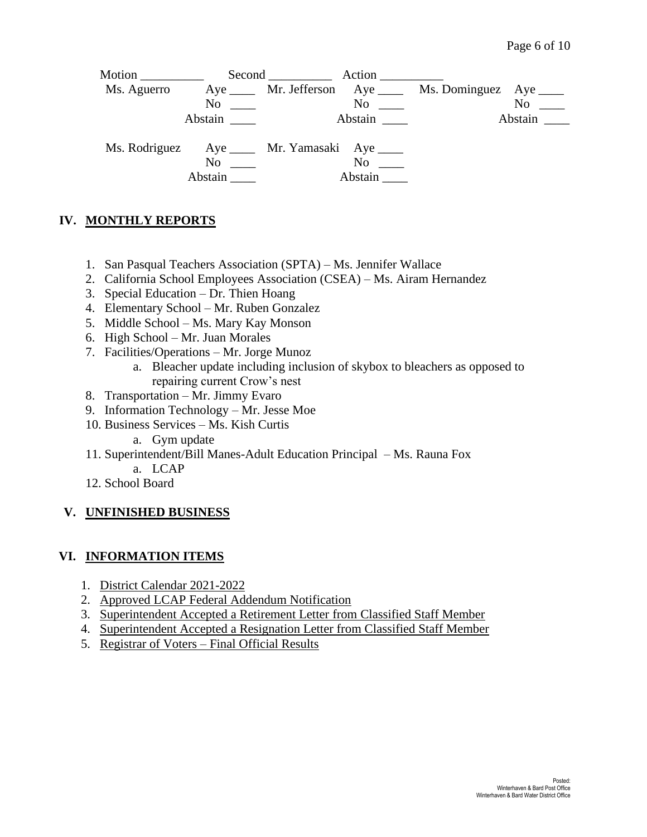| Motion $\frac{1}{\sqrt{1-\frac{1}{2}}\cdot\frac{1}{\sqrt{1-\frac{1}{2}}}}$ |                | Second Action |                                                            |         |
|----------------------------------------------------------------------------|----------------|---------------|------------------------------------------------------------|---------|
| Ms. Aguerro                                                                |                |               | Aye ______ Mr. Jefferson Aye _____ Ms. Dominguez Aye _____ |         |
|                                                                            |                | $No \ \_$     |                                                            | $No \_$ |
|                                                                            | Abstain        | Abstain       |                                                            |         |
| Ms. Rodriguez Aye _____ Mr. Yamasaki Aye _____                             |                |               |                                                            |         |
|                                                                            | N <sub>0</sub> | No            |                                                            |         |
|                                                                            | Abstain        | Abstain       |                                                            |         |

# **IV. MONTHLY REPORTS**

- 1. San Pasqual Teachers Association (SPTA) Ms. Jennifer Wallace
- 2. California School Employees Association (CSEA) Ms. Airam Hernandez
- 3. Special Education Dr. Thien Hoang
- 4. Elementary School Mr. Ruben Gonzalez
- 5. Middle School Ms. Mary Kay Monson
- 6. High School Mr. Juan Morales
- 7. Facilities/Operations Mr. Jorge Munoz
	- a. Bleacher update including inclusion of skybox to bleachers as opposed to repairing current Crow's nest
- 8. Transportation Mr. Jimmy Evaro
- 9. Information Technology Mr. Jesse Moe
- 10. Business Services Ms. Kish Curtis
	- a. Gym update
- 11. Superintendent/Bill Manes-Adult Education Principal Ms. Rauna Fox
	- a. LCAP
- 12. School Board

### **V. UNFINISHED BUSINESS**

### **VI. INFORMATION ITEMS**

- 1. District Calendar 2021-2022
- 2. Approved LCAP Federal Addendum Notification
- 3. Superintendent Accepted a Retirement Letter from Classified Staff Member
- 4. Superintendent Accepted a Resignation Letter from Classified Staff Member
- 5. Registrar of Voters Final Official Results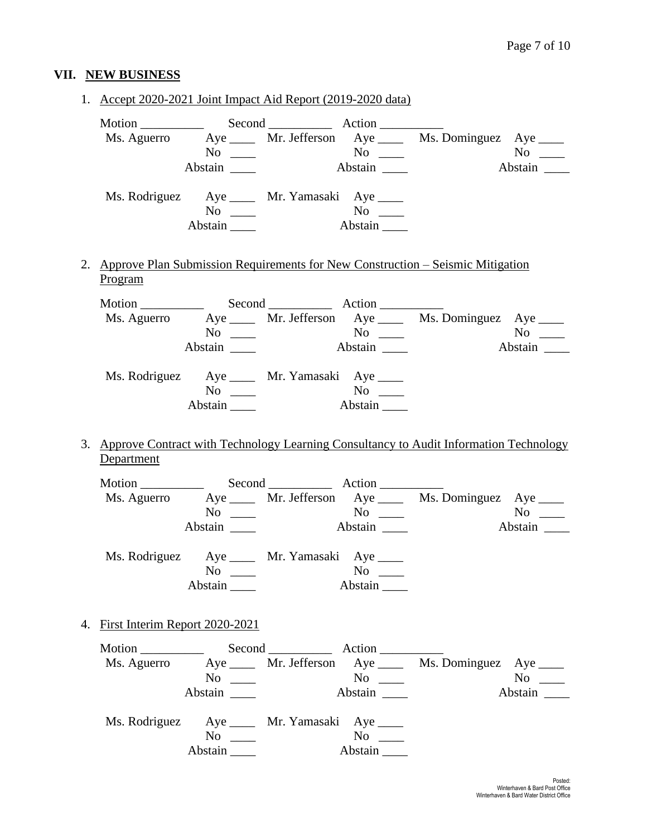# **VII. NEW BUSINESS**

| 1. Accept 2020-2021 Joint Impact Aid Report (2019-2020 data) |                                                                                                                                                         |                                                      |                                                                                          |                      |
|--------------------------------------------------------------|---------------------------------------------------------------------------------------------------------------------------------------------------------|------------------------------------------------------|------------------------------------------------------------------------------------------|----------------------|
|                                                              |                                                                                                                                                         |                                                      | Ms. Aguerro Aye _____ Mr. Jefferson Aye _____ Ms. Dominguez Aye ____<br>Ab               | No $\qquad$          |
|                                                              | Ms. Rodriguez Aye _____ Mr. Yamasaki Aye ____<br>$No \_$<br>Abstain                                                                                     |                                                      |                                                                                          |                      |
| Program                                                      |                                                                                                                                                         |                                                      | 2. Approve Plan Submission Requirements for New Construction – Seismic Mitigation        |                      |
|                                                              | Abstain _______                                                                                                                                         | $No$ No $No$ $\qquad$                                | Ms. Aguerro Aye ____ Mr. Jefferson Aye ____ Ms. Dominguez Aye ____                       | $No \_$<br>Abstain   |
|                                                              | Ms. Rodriguez Aye _____ Mr. Yamasaki Aye ____<br>No $\frac{1}{\sqrt{1-\frac{1}{2}}\sqrt{1-\frac{1}{2}}\left(\frac{1}{2}-\frac{1}{2}\right)}$<br>Abstain | No<br>Abstain<br>Abstain                             |                                                                                          |                      |
| Department                                                   |                                                                                                                                                         |                                                      | 3. Approve Contract with Technology Learning Consultancy to Audit Information Technology |                      |
|                                                              | $\overline{N_0}$ $\overline{\phantom{1}}$                                                                                                               |                                                      | Ms. Aguerro Aye _____ Mr. Jefferson Aye ____ Ms. Dominguez Aye ____                      | $No \ \_$<br>Abstain |
|                                                              | Ms. Rodriguez Aye ____ Mr. Yamasaki Aye ____<br>$No \ \_$<br>Abstain                                                                                    | $No \ \_$<br>Abstain                                 |                                                                                          |                      |
| 4. First Interim Report 2020-2021                            |                                                                                                                                                         |                                                      |                                                                                          |                      |
| Motion $\_\_$                                                | $No \ \_$<br>Abstain                                                                                                                                    | $\overline{N_0}$ $\overline{\phantom{0}}$<br>Abstain | Ms. Aguerro Aye _____ Mr. Jefferson Aye ____ Ms. Dominguez Aye ____                      | $No \ \_$            |
|                                                              | Ms. Rodriguez Aye _____ Mr. Yamasaki Aye ____<br>$No \ \_$<br>Abstain                                                                                   | $No \ \_$                                            |                                                                                          |                      |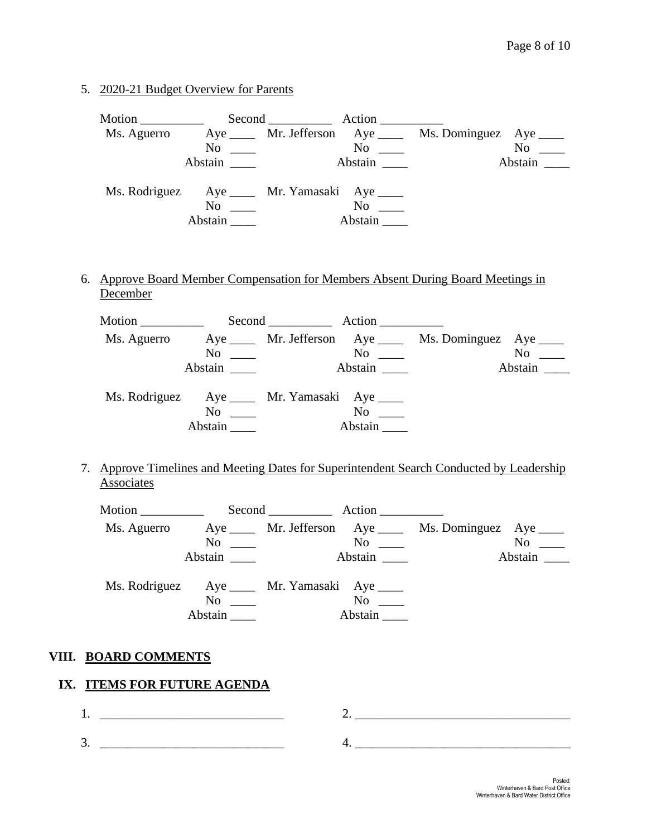# 5. 2020-21 Budget Overview for Parents

|             |                                                                          | Second Action |           |                                                         |
|-------------|--------------------------------------------------------------------------|---------------|-----------|---------------------------------------------------------|
| Ms. Aguerro |                                                                          |               |           | Aye _____ Mr. Jefferson Aye ____ Ms. Dominguez Aye ____ |
|             | $\mathrm{No} \ \_\_\_\$                                                  |               | $No \ \_$ | $No \_\_$                                               |
|             | Abstain                                                                  |               | Abstain   | Abstain $\_\_$                                          |
|             | Ms. Rodriguez Aye _____ Mr. Yamasaki Aye ____<br>$\mathrm{No} \ \_\_\_\$ |               | No        |                                                         |
|             | Abstain                                                                  |               | Abstain   |                                                         |

# 6. Approve Board Member Compensation for Members Absent During Board Meetings in **December**

| Motion $\frac{1}{\sqrt{1-\frac{1}{2}}\cdot\frac{1}{\sqrt{1-\frac{1}{2}}}}$ |                             | Second Action |                |                                                         |                  |
|----------------------------------------------------------------------------|-----------------------------|---------------|----------------|---------------------------------------------------------|------------------|
| Ms. Aguerro                                                                |                             |               |                | Aye _____ Mr. Jefferson Aye ____ Ms. Dominguez Aye ____ |                  |
|                                                                            | No                          |               | No             |                                                         | $No \t —$        |
|                                                                            | Abstain                     |               | Abstain        |                                                         | Abstain $\qquad$ |
| Ms. Rodriguez Aye _____ Mr. Yamasaki Aye ____                              |                             |               |                |                                                         |                  |
|                                                                            | $\mathrm{No} \quad \_\_\_\$ |               | N <sub>0</sub> |                                                         |                  |
|                                                                            | Abstain                     |               | Abstain        |                                                         |                  |

7. Approve Timelines and Meeting Dates for Superintendent Search Conducted by Leadership **Associates** 

| Motion ____________ |                                              | Second Action |                         |                                                         |                  |
|---------------------|----------------------------------------------|---------------|-------------------------|---------------------------------------------------------|------------------|
| Ms. Aguerro         |                                              |               |                         | Aye _____ Mr. Jefferson Aye ____ Ms. Dominguez Aye ____ |                  |
|                     | $\mathrm{No} \quad \_\_\_\_\$                |               | $\mathrm{No} \ \_\_\_\$ |                                                         | $No \_\_$        |
|                     |                                              |               | Abstain                 |                                                         | Abstain $\qquad$ |
|                     | Ms. Rodriguez Aye ____ Mr. Yamasaki Aye ____ |               |                         |                                                         |                  |
|                     | $\mathrm{No} \ \_\_\_\$                      |               | $\rm No$                |                                                         |                  |
|                     |                                              |               | Abstain                 |                                                         |                  |

## **VIII. BOARD COMMENTS**

# **IX. ITEMS FOR FUTURE AGENDA**

| . .      |  |
|----------|--|
|          |  |
| <u>.</u> |  |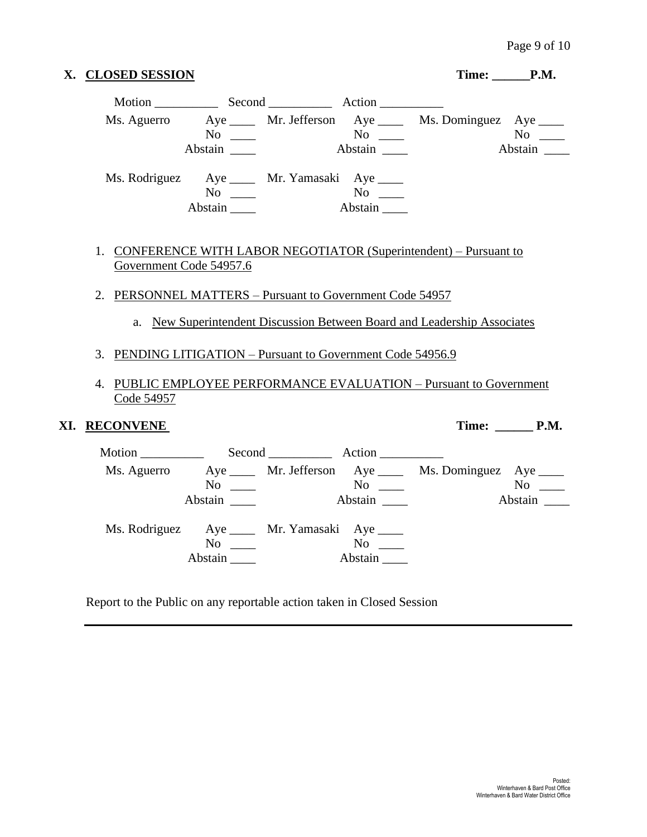| 2. PERSONNEL MATTERS - Pursuant to Government Code 54957 |                                                             |                      |                                                                       |                      |                                                                          |                                                                                       |  |  |  |  |
|----------------------------------------------------------|-------------------------------------------------------------|----------------------|-----------------------------------------------------------------------|----------------------|--------------------------------------------------------------------------|---------------------------------------------------------------------------------------|--|--|--|--|
|                                                          |                                                             |                      |                                                                       |                      | a. New Superintendent Discussion Between Board and Leadership Associates |                                                                                       |  |  |  |  |
|                                                          | 3. PENDING LITIGATION – Pursuant to Government Code 54956.9 |                      |                                                                       |                      |                                                                          |                                                                                       |  |  |  |  |
|                                                          | Code 54957                                                  |                      |                                                                       |                      | 4. PUBLIC EMPLOYEE PERFORMANCE EVALUATION - Pursuant to Government       |                                                                                       |  |  |  |  |
|                                                          | <b>RECONVENE</b>                                            |                      |                                                                       |                      |                                                                          | Time: P.M.                                                                            |  |  |  |  |
|                                                          |                                                             |                      |                                                                       |                      |                                                                          |                                                                                       |  |  |  |  |
|                                                          |                                                             | Abstain              |                                                                       |                      | Ms. Aguerro Aye _____ Mr. Jefferson Aye ____ Ms. Dominguez Aye ____      | $No \ \_$<br>Abstain                                                                  |  |  |  |  |
|                                                          |                                                             | $No \ \_$<br>Abstain | Ms. Rodriguez Aye _____ Mr. Yamasaki Aye ____                         | $No \ \_$<br>Abstain |                                                                          |                                                                                       |  |  |  |  |
|                                                          |                                                             |                      | Report to the Public on any reportable action taken in Closed Session |                      |                                                                          |                                                                                       |  |  |  |  |
|                                                          |                                                             |                      |                                                                       |                      |                                                                          |                                                                                       |  |  |  |  |
|                                                          |                                                             |                      |                                                                       |                      |                                                                          |                                                                                       |  |  |  |  |
|                                                          |                                                             |                      |                                                                       |                      |                                                                          |                                                                                       |  |  |  |  |
|                                                          |                                                             |                      |                                                                       |                      |                                                                          |                                                                                       |  |  |  |  |
|                                                          |                                                             |                      |                                                                       |                      |                                                                          |                                                                                       |  |  |  |  |
|                                                          |                                                             |                      |                                                                       |                      |                                                                          | Posted:<br>Winterhaven & Bard Post Office<br>Winterhaven & Bard Water District Office |  |  |  |  |

# **X. CLOSED SESSION Time: \_\_\_\_\_\_P.M.**

Motion \_\_\_\_\_\_\_\_\_\_\_\_\_\_ Second \_\_\_\_\_\_\_\_\_\_\_\_\_\_ Action \_\_\_\_\_\_\_\_\_\_\_\_\_

No \_\_\_\_ No \_\_\_ Abstain \_\_\_\_\_ Abstain \_\_\_\_

1. CONFERENCE WITH LABOR NEGOTIATOR (Superintendent) – Pursuant to

Ms. Rodriguez Aye \_\_\_\_ Mr. Yamasaki Aye \_\_\_\_

Government Code 54957.6

**XI. RECONVENE** 

Ms. Aguerro Aye \_\_\_\_ Mr. Jefferson Aye \_\_\_\_ Ms. Dominguez Aye \_\_\_\_

No \_\_\_ No \_\_ No \_\_ No \_\_ No \_\_ Abstain \_\_\_\_ Abstain \_\_\_ Abstain \_\_\_ Abstain \_\_\_